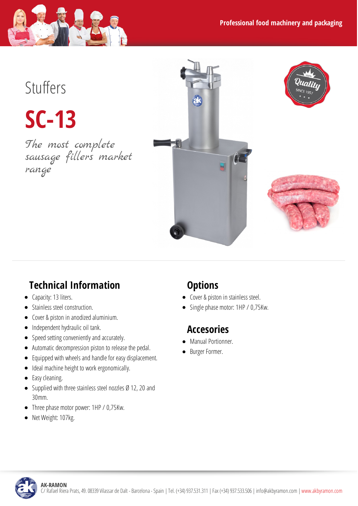

# Stuffers

**SC-13**

The most complete sausage fillers market range



### **Technical Information**

- Capacity: 13 liters.
- Stainless steel construction.
- Cover & piston in anodized aluminium.
- $\bullet$  Independent hydraulic oil tank.
- Speed setting conveniently and accurately.
- Automatic decompression piston to release the pedal.
- Equipped with wheels and handle for easy displacement.  $\bullet$
- Ideal machine height to work ergonomically.
- Easy cleaning.
- Supplied with three stainless steel nozzles Ø 12, 20 and 30mm.
- Three phase motor power: 1HP / 0,75Kw.
- Net Weight: 107kg.  $\bullet$

#### **Options**

- Cover & piston in stainless steel.
- Single phase motor: 1HP / 0,75Kw.

#### **Accesories**

- Manual Portionner.
- Burger Former.

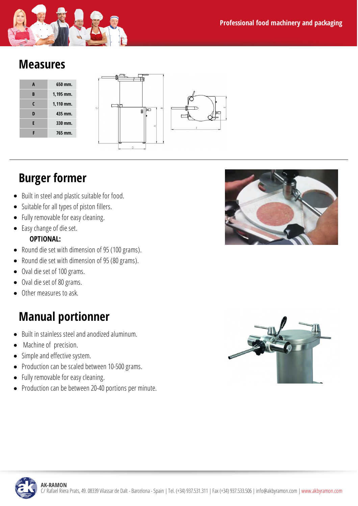

#### **Measures**





## **Burger former**

- Built in steel and plastic suitable for food.
- $\bullet$  Suitable for all types of piston fillers.
- Fully removable for easy cleaning.  $\bullet$
- Easy change of die set.

#### **OPTIONAL:**

- Round die set with dimension of 95 (100 grams).
- Round die set with dimension of 95 (80 grams).
- Oval die set of 100 grams.
- Oval die set of 80 grams.  $\bullet$
- Other measures to ask.

### **Manual portionner**

- Built in stainless steel and anodized aluminum.
- Machine of precision.  $\bullet$
- Simple and effective system.
- Production can be scaled between 10-500 grams.
- Fully removable for easy cleaning.  $\bullet$
- Production can be between 20-40 portions per minute.